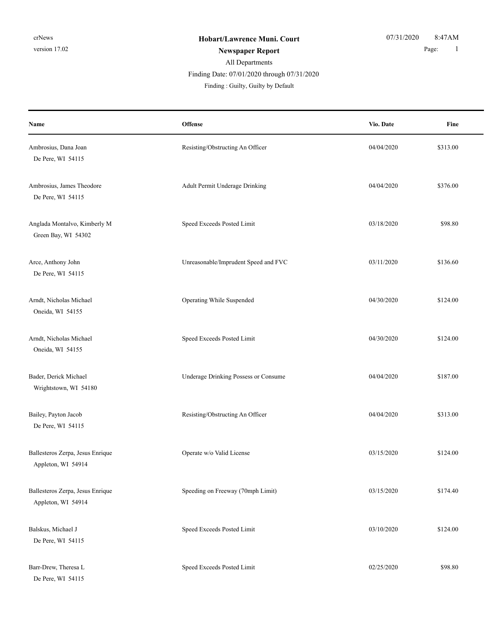| Name                                                   | Offense                              | Vio. Date  | Fine     |
|--------------------------------------------------------|--------------------------------------|------------|----------|
| Ambrosius, Dana Joan<br>De Pere, WI 54115              | Resisting/Obstructing An Officer     | 04/04/2020 | \$313.00 |
| Ambrosius, James Theodore<br>De Pere, WI 54115         | Adult Permit Underage Drinking       | 04/04/2020 | \$376.00 |
| Anglada Montalvo, Kimberly M<br>Green Bay, WI 54302    | Speed Exceeds Posted Limit           | 03/18/2020 | \$98.80  |
| Arce, Anthony John<br>De Pere, WI 54115                | Unreasonable/Imprudent Speed and FVC | 03/11/2020 | \$136.60 |
| Arndt, Nicholas Michael<br>Oneida, WI 54155            | Operating While Suspended            | 04/30/2020 | \$124.00 |
| Arndt, Nicholas Michael<br>Oneida, WI 54155            | Speed Exceeds Posted Limit           | 04/30/2020 | \$124.00 |
| Bader, Derick Michael<br>Wrightstown, WI 54180         | Underage Drinking Possess or Consume | 04/04/2020 | \$187.00 |
| Bailey, Payton Jacob<br>De Pere, WI 54115              | Resisting/Obstructing An Officer     | 04/04/2020 | \$313.00 |
| Ballesteros Zerpa, Jesus Enrique<br>Appleton, WI 54914 | Operate w/o Valid License            | 03/15/2020 | \$124.00 |
| Ballesteros Zerpa, Jesus Enrique<br>Appleton, WI 54914 | Speeding on Freeway (70mph Limit)    | 03/15/2020 | \$174.40 |
| Balskus, Michael J<br>De Pere, WI 54115                | Speed Exceeds Posted Limit           | 03/10/2020 | \$124.00 |
| Barr-Drew, Theresa L<br>De Pere, WI 54115              | Speed Exceeds Posted Limit           | 02/25/2020 | \$98.80  |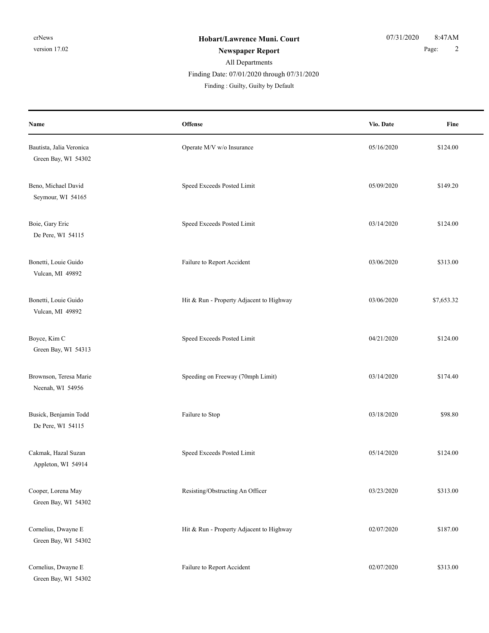| Name                                            | Offense                                  | Vio. Date  | Fine       |
|-------------------------------------------------|------------------------------------------|------------|------------|
| Bautista, Jalia Veronica<br>Green Bay, WI 54302 | Operate M/V w/o Insurance                | 05/16/2020 | \$124.00   |
| Beno, Michael David<br>Seymour, WI 54165        | Speed Exceeds Posted Limit               | 05/09/2020 | \$149.20   |
| Boie, Gary Eric<br>De Pere, WI 54115            | Speed Exceeds Posted Limit               | 03/14/2020 | \$124.00   |
| Bonetti, Louie Guido<br>Vulcan, MI 49892        | Failure to Report Accident               | 03/06/2020 | \$313.00   |
| Bonetti, Louie Guido<br>Vulcan, MI 49892        | Hit & Run - Property Adjacent to Highway | 03/06/2020 | \$7,653.32 |
| Boyce, Kim C<br>Green Bay, WI 54313             | Speed Exceeds Posted Limit               | 04/21/2020 | \$124.00   |
| Brownson, Teresa Marie<br>Neenah, WI 54956      | Speeding on Freeway (70mph Limit)        | 03/14/2020 | \$174.40   |
| Busick, Benjamin Todd<br>De Pere, WI 54115      | Failure to Stop                          | 03/18/2020 | \$98.80    |
| Cakmak, Hazal Suzan<br>Appleton, WI 54914       | Speed Exceeds Posted Limit               | 05/14/2020 | \$124.00   |
| Cooper, Lorena May<br>Green Bay, WI 54302       | Resisting/Obstructing An Officer         | 03/23/2020 | \$313.00   |
| Cornelius, Dwayne E<br>Green Bay, WI 54302      | Hit & Run - Property Adjacent to Highway | 02/07/2020 | \$187.00   |
| Cornelius, Dwayne E<br>Green Bay, WI 54302      | Failure to Report Accident               | 02/07/2020 | \$313.00   |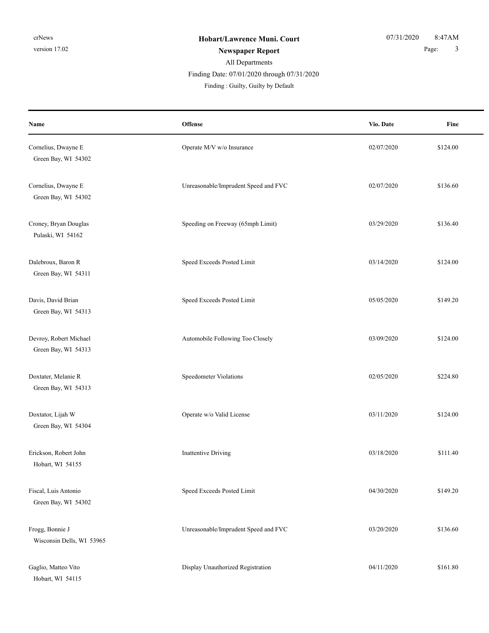| Name                                          | <b>Offense</b>                       | Vio. Date  | Fine     |
|-----------------------------------------------|--------------------------------------|------------|----------|
| Cornelius, Dwayne E<br>Green Bay, WI 54302    | Operate M/V w/o Insurance            | 02/07/2020 | \$124.00 |
| Cornelius, Dwayne E<br>Green Bay, WI 54302    | Unreasonable/Imprudent Speed and FVC | 02/07/2020 | \$136.60 |
| Croney, Bryan Douglas<br>Pulaski, WI 54162    | Speeding on Freeway (65mph Limit)    | 03/29/2020 | \$136.40 |
| Dalebroux, Baron R<br>Green Bay, WI 54311     | Speed Exceeds Posted Limit           | 03/14/2020 | \$124.00 |
| Davis, David Brian<br>Green Bay, WI 54313     | Speed Exceeds Posted Limit           | 05/05/2020 | \$149.20 |
| Devroy, Robert Michael<br>Green Bay, WI 54313 | Automobile Following Too Closely     | 03/09/2020 | \$124.00 |
| Doxtater, Melanie R<br>Green Bay, WI 54313    | Speedometer Violations               | 02/05/2020 | \$224.80 |
| Doxtator, Lijah W<br>Green Bay, WI 54304      | Operate w/o Valid License            | 03/11/2020 | \$124.00 |
| Erickson, Robert John<br>Hobart, WI 54155     | Inattentive Driving                  | 03/18/2020 | \$111.40 |
| Fiscal, Luis Antonio<br>Green Bay, WI 54302   | Speed Exceeds Posted Limit           | 04/30/2020 | \$149.20 |
| Frogg, Bonnie J<br>Wisconsin Dells, WI 53965  | Unreasonable/Imprudent Speed and FVC | 03/20/2020 | \$136.60 |
| Gaglio, Matteo Vito<br>Hobart, WI 54115       | Display Unauthorized Registration    | 04/11/2020 | \$161.80 |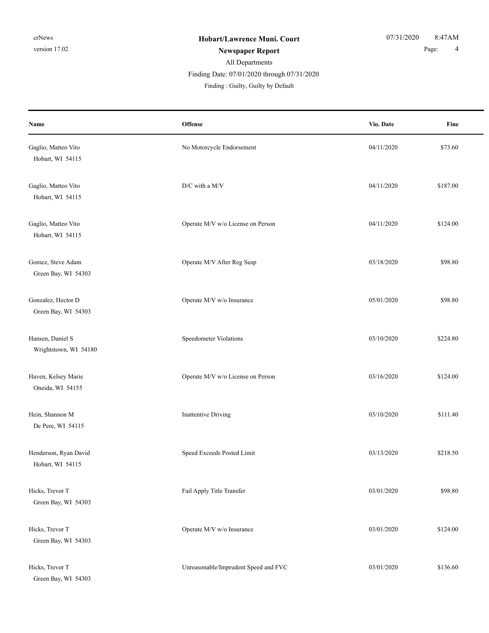| Name                                      | Offense                              | Vio. Date  | Fine     |
|-------------------------------------------|--------------------------------------|------------|----------|
| Gaglio, Matteo Vito<br>Hobart, WI 54115   | No Motorcycle Endorsement            | 04/11/2020 | \$73.60  |
| Gaglio, Matteo Vito<br>Hobart, WI 54115   | D/C with a M/V                       | 04/11/2020 | \$187.00 |
| Gaglio, Matteo Vito<br>Hobart, WI 54115   | Operate M/V w/o License on Person    | 04/11/2020 | \$124.00 |
| Gomez, Steve Adam<br>Green Bay, WI 54303  | Operate M/V After Reg Susp           | 03/18/2020 | \$98.80  |
| Gonzalez, Hector D<br>Green Bay, WI 54303 | Operate M/V w/o Insurance            | 05/01/2020 | \$98.80  |
| Hansen, Daniel S<br>Wrightstown, WI 54180 | Speedometer Violations               | 03/10/2020 | \$224.80 |
| Haven, Kelsey Marie<br>Oneida, WI 54155   | Operate M/V w/o License on Person    | 03/16/2020 | \$124.00 |
| Hein, Shannon M<br>De Pere, WI 54115      | <b>Inattentive Driving</b>           | 03/10/2020 | \$111.40 |
| Henderson, Ryan David<br>Hobart, WI 54115 | Speed Exceeds Posted Limit           | 03/13/2020 | \$218.50 |
| Hicks, Trevor T<br>Green Bay, WI 54303    | Fail Apply Title Transfer            | 03/01/2020 | \$98.80  |
| Hicks, Trevor T<br>Green Bay, WI 54303    | Operate M/V w/o Insurance            | 03/01/2020 | \$124.00 |
| Hicks, Trevor T<br>Green Bay, WI 54303    | Unreasonable/Imprudent Speed and FVC | 03/01/2020 | \$136.60 |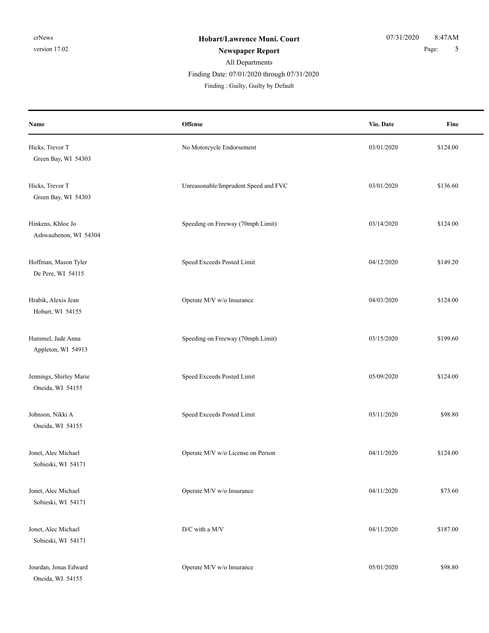# All Departments

Finding Date: 07/01/2020 through 07/31/2020

| Name                                        | Offense                              | Vio. Date  | Fine     |
|---------------------------------------------|--------------------------------------|------------|----------|
| Hicks, Trevor T<br>Green Bay, WI 54303      | No Motorcycle Endorsement            | 03/01/2020 | \$124.00 |
| Hicks, Trevor T<br>Green Bay, WI 54303      | Unreasonable/Imprudent Speed and FVC | 03/01/2020 | \$136.60 |
| Hinkens, Khloe Jo<br>Ashwaubenon, WI 54304  | Speeding on Freeway (70mph Limit)    | 03/14/2020 | \$124.00 |
| Hoffman, Mason Tyler<br>De Pere, WI 54115   | Speed Exceeds Posted Limit           | 04/12/2020 | \$149.20 |
| Hrabik, Alexis Jean<br>Hobart, WI 54155     | Operate M/V w/o Insurance            | 04/03/2020 | \$124.00 |
| Hummel, Jade Anna<br>Appleton, WI 54913     | Speeding on Freeway (70mph Limit)    | 03/15/2020 | \$199.60 |
| Jennings, Shirley Marie<br>Oneida, WI 54155 | Speed Exceeds Posted Limit           | 05/09/2020 | \$124.00 |
| Johnson, Nikki A<br>Oneida, WI 54155        | Speed Exceeds Posted Limit           | 03/11/2020 | \$98.80  |
| Jonet, Alec Michael<br>Sobieski, WI 54171   | Operate M/V w/o License on Person    | 04/11/2020 | \$124.00 |
| Jonet, Alec Michael<br>Sobieski, WI 54171   | Operate M/V w/o Insurance            | 04/11/2020 | \$73.60  |
| Jonet, Alec Michael<br>Sobieski, WI 54171   | D/C with a M/V                       | 04/11/2020 | \$187.00 |
| Jourdan, Jonas Edward<br>Oneida, WI 54155   | Operate M/V w/o Insurance            | 05/01/2020 | \$98.80  |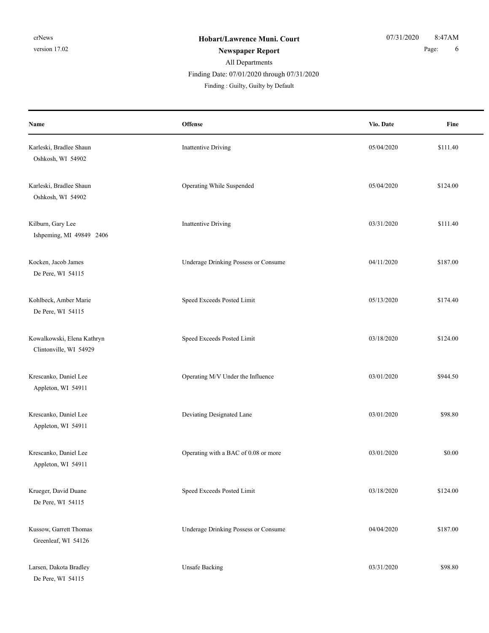| Name                                                 | Offense                              | Vio. Date  | Fine     |
|------------------------------------------------------|--------------------------------------|------------|----------|
| Karleski, Bradlee Shaun<br>Oshkosh, WI 54902         | Inattentive Driving                  | 05/04/2020 | \$111.40 |
| Karleski, Bradlee Shaun<br>Oshkosh, WI 54902         | Operating While Suspended            | 05/04/2020 | \$124.00 |
| Kilburn, Gary Lee<br>Ishpeming, MI 49849 2406        | <b>Inattentive Driving</b>           | 03/31/2020 | \$111.40 |
| Kocken, Jacob James<br>De Pere, WI 54115             | Underage Drinking Possess or Consume | 04/11/2020 | \$187.00 |
| Kohlbeck, Amber Marie<br>De Pere, WI 54115           | Speed Exceeds Posted Limit           | 05/13/2020 | \$174.40 |
| Kowalkowski, Elena Kathryn<br>Clintonville, WI 54929 | Speed Exceeds Posted Limit           | 03/18/2020 | \$124.00 |
| Krescanko, Daniel Lee<br>Appleton, WI 54911          | Operating M/V Under the Influence    | 03/01/2020 | \$944.50 |
| Krescanko, Daniel Lee<br>Appleton, WI 54911          | Deviating Designated Lane            | 03/01/2020 | \$98.80  |
| Krescanko, Daniel Lee<br>Appleton, WI 54911          | Operating with a BAC of 0.08 or more | 03/01/2020 | \$0.00   |
| Krueger, David Duane<br>De Pere, WI 54115            | Speed Exceeds Posted Limit           | 03/18/2020 | \$124.00 |
| Kussow, Garrett Thomas<br>Greenleaf, WI 54126        | Underage Drinking Possess or Consume | 04/04/2020 | \$187.00 |
| Larsen, Dakota Bradley<br>De Pere, WI 54115          | <b>Unsafe Backing</b>                | 03/31/2020 | \$98.80  |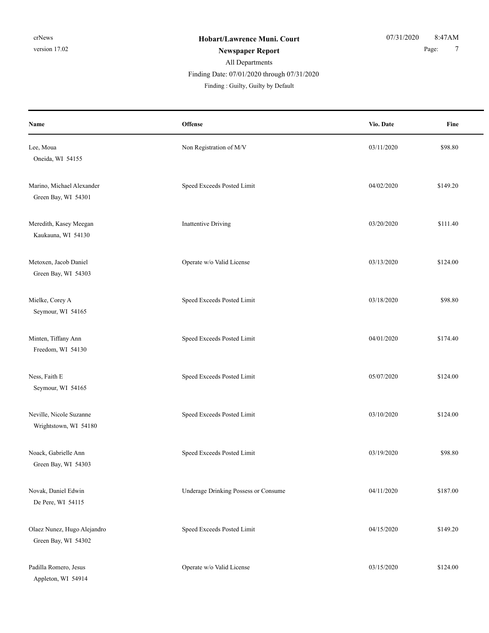| Name                                               | Offense                              | Vio. Date  | Fine     |
|----------------------------------------------------|--------------------------------------|------------|----------|
| Lee, Moua<br>Oneida, WI 54155                      | Non Registration of M/V              | 03/11/2020 | \$98.80  |
| Marino, Michael Alexander<br>Green Bay, WI 54301   | Speed Exceeds Posted Limit           | 04/02/2020 | \$149.20 |
| Meredith, Kasey Meegan<br>Kaukauna, WI 54130       | <b>Inattentive Driving</b>           | 03/20/2020 | \$111.40 |
| Metoxen, Jacob Daniel<br>Green Bay, WI 54303       | Operate w/o Valid License            | 03/13/2020 | \$124.00 |
| Mielke, Corey A<br>Seymour, WI 54165               | Speed Exceeds Posted Limit           | 03/18/2020 | \$98.80  |
| Minten, Tiffany Ann<br>Freedom, WI 54130           | Speed Exceeds Posted Limit           | 04/01/2020 | \$174.40 |
| Ness, Faith E<br>Seymour, WI 54165                 | Speed Exceeds Posted Limit           | 05/07/2020 | \$124.00 |
| Neville, Nicole Suzanne<br>Wrightstown, WI 54180   | Speed Exceeds Posted Limit           | 03/10/2020 | \$124.00 |
| Noack, Gabrielle Ann<br>Green Bay, WI 54303        | Speed Exceeds Posted Limit           | 03/19/2020 | \$98.80  |
| Novak, Daniel Edwin<br>De Pere, WI 54115           | Underage Drinking Possess or Consume | 04/11/2020 | \$187.00 |
| Olaez Nunez, Hugo Alejandro<br>Green Bay, WI 54302 | Speed Exceeds Posted Limit           | 04/15/2020 | \$149.20 |
| Padilla Romero, Jesus<br>Appleton, WI 54914        | Operate w/o Valid License            | 03/15/2020 | \$124.00 |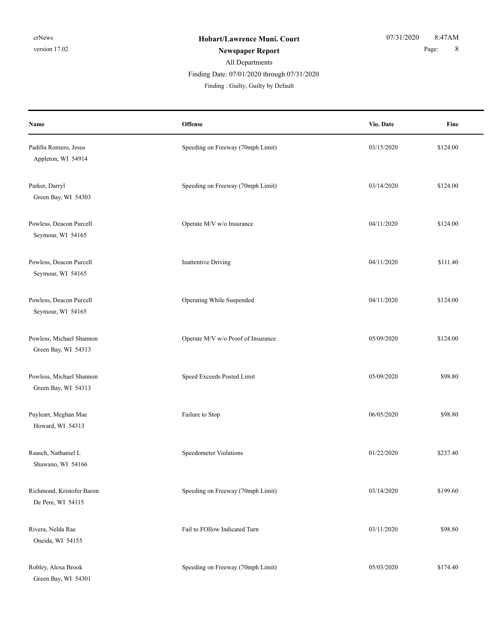| Name                                            | Offense                            | Vio. Date  | Fine     |
|-------------------------------------------------|------------------------------------|------------|----------|
| Padilla Romero, Jesus<br>Appleton, WI 54914     | Speeding on Freeway (70mph Limit)  | 03/15/2020 | \$124.00 |
| Parker, Darryl<br>Green Bay, WI 54303           | Speeding on Freeway (70mph Limit)  | 03/14/2020 | \$124.00 |
| Powless, Deacon Purcell<br>Seymour, WI 54165    | Operate M/V w/o Insurance          | 04/11/2020 | \$124.00 |
| Powless, Deacon Purcell<br>Seymour, WI 54165    | <b>Inattentive Driving</b>         | 04/11/2020 | \$111.40 |
| Powless, Deacon Purcell<br>Seymour, WI 54165    | Operating While Suspended          | 04/11/2020 | \$124.00 |
| Powless, Michael Shannon<br>Green Bay, WI 54313 | Operate M/V w/o Proof of Insurance | 05/09/2020 | \$124.00 |
| Powless, Michael Shannon<br>Green Bay, WI 54313 | Speed Exceeds Posted Limit         | 05/09/2020 | \$98.80  |
| Puyleart, Meghan Mae<br>Howard, WI 54313        | Failure to Stop                    | 06/05/2020 | \$98.80  |
| Raasch, Nathaniel L<br>Shawano, WI 54166        | Speedometer Violations             | 01/22/2020 | \$237.40 |
| Richmond, Kristofer Baron<br>De Pere, WI 54115  | Speeding on Freeway (70mph Limit)  | 03/14/2020 | \$199.60 |
| Rivera, Nelda Rae<br>Oneida, WI 54155           | Fail to FOllow Indicated Turn      | 03/11/2020 | \$98.80  |
| Robley, Alexa Brook<br>Green Bay, WI 54301      | Speeding on Freeway (70mph Limit)  | 05/03/2020 | \$174.40 |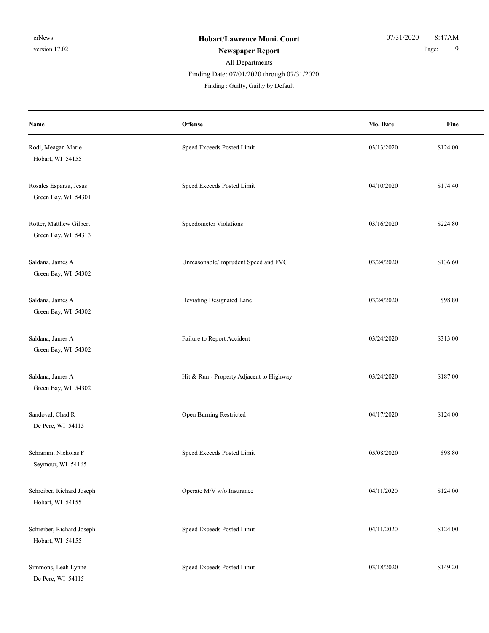| Name                                           | Offense                                  | Vio. Date  | Fine     |
|------------------------------------------------|------------------------------------------|------------|----------|
| Rodi, Meagan Marie<br>Hobart, WI 54155         | Speed Exceeds Posted Limit               | 03/13/2020 | \$124.00 |
| Rosales Esparza, Jesus<br>Green Bay, WI 54301  | Speed Exceeds Posted Limit               | 04/10/2020 | \$174.40 |
| Rotter, Matthew Gilbert<br>Green Bay, WI 54313 | Speedometer Violations                   | 03/16/2020 | \$224.80 |
| Saldana, James A<br>Green Bay, WI 54302        | Unreasonable/Imprudent Speed and FVC     | 03/24/2020 | \$136.60 |
| Saldana, James A<br>Green Bay, WI 54302        | Deviating Designated Lane                | 03/24/2020 | \$98.80  |
| Saldana, James A<br>Green Bay, WI 54302        | Failure to Report Accident               | 03/24/2020 | \$313.00 |
| Saldana, James A<br>Green Bay, WI 54302        | Hit & Run - Property Adjacent to Highway | 03/24/2020 | \$187.00 |
| Sandoval, Chad R<br>De Pere, WI 54115          | Open Burning Restricted                  | 04/17/2020 | \$124.00 |
| Schramm, Nicholas F<br>Seymour, WI 54165       | Speed Exceeds Posted Limit               | 05/08/2020 | \$98.80  |
| Schreiber, Richard Joseph<br>Hobart, WI 54155  | Operate M/V w/o Insurance                | 04/11/2020 | \$124.00 |
| Schreiber, Richard Joseph<br>Hobart, WI 54155  | Speed Exceeds Posted Limit               | 04/11/2020 | \$124.00 |
| Simmons, Leah Lynne<br>De Pere, WI 54115       | Speed Exceeds Posted Limit               | 03/18/2020 | \$149.20 |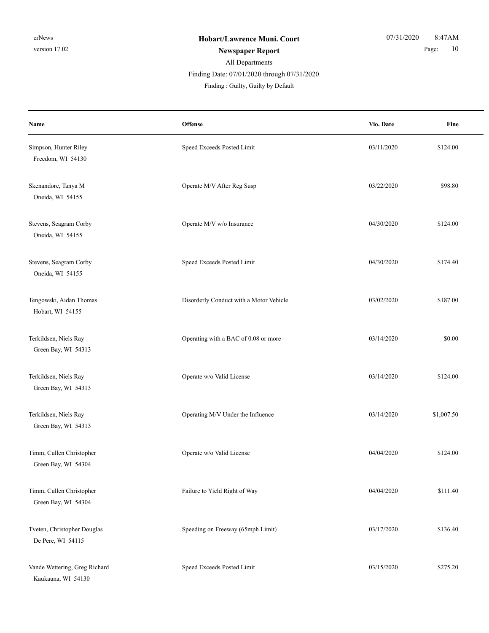| Name                                                | Offense                                 | Vio. Date  | Fine       |
|-----------------------------------------------------|-----------------------------------------|------------|------------|
| Simpson, Hunter Riley<br>Freedom, WI 54130          | Speed Exceeds Posted Limit              | 03/11/2020 | \$124.00   |
| Skenandore, Tanya M<br>Oneida, WI 54155             | Operate M/V After Reg Susp              | 03/22/2020 | \$98.80    |
| Stevens, Seagram Corby<br>Oneida, WI 54155          | Operate M/V w/o Insurance               | 04/30/2020 | \$124.00   |
| Stevens, Seagram Corby<br>Oneida, WI 54155          | Speed Exceeds Posted Limit              | 04/30/2020 | \$174.40   |
| Tengowski, Aidan Thomas<br>Hobart, WI 54155         | Disorderly Conduct with a Motor Vehicle | 03/02/2020 | \$187.00   |
| Terkildsen, Niels Ray<br>Green Bay, WI 54313        | Operating with a BAC of 0.08 or more    | 03/14/2020 | \$0.00     |
| Terkildsen, Niels Ray<br>Green Bay, WI 54313        | Operate w/o Valid License               | 03/14/2020 | \$124.00   |
| Terkildsen, Niels Ray<br>Green Bay, WI 54313        | Operating M/V Under the Influence       | 03/14/2020 | \$1,007.50 |
| Timm, Cullen Christopher<br>Green Bay, WI 54304     | Operate w/o Valid License               | 04/04/2020 | \$124.00   |
| Timm, Cullen Christopher<br>Green Bay, WI 54304     | Failure to Yield Right of Way           | 04/04/2020 | \$111.40   |
| Tveten, Christopher Douglas<br>De Pere, WI 54115    | Speeding on Freeway (65mph Limit)       | 03/17/2020 | \$136.40   |
| Vande Wettering, Greg Richard<br>Kaukauna, WI 54130 | Speed Exceeds Posted Limit              | 03/15/2020 | \$275.20   |